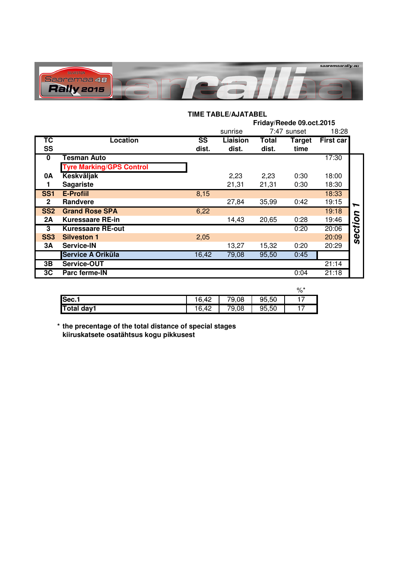

## **TIME TABLE/AJATABEL**

|                 |                                 |       | Friday/Reede 09.oct.2015 |              |               |                  |          |  |
|-----------------|---------------------------------|-------|--------------------------|--------------|---------------|------------------|----------|--|
|                 |                                 |       | sunrise                  | 7:47 sunset  |               | 18:28            |          |  |
| ТC              | <b>Location</b>                 | SS    | Liaision                 | <b>Total</b> | <b>Target</b> | <b>First car</b> |          |  |
| <b>SS</b>       |                                 | dist. | dist.                    | dist.        | time          |                  |          |  |
| $\bf{0}$        | Tesman Auto                     |       |                          |              |               | 17:30            |          |  |
|                 | <b>Tyre Marking/GPS Control</b> |       |                          |              |               |                  |          |  |
| <b>0A</b>       | <b>Keskväljak</b>               |       | 2,23                     | 2,23         | 0:30          | 18:00            |          |  |
|                 | <b>Sagariste</b>                |       | 21,31                    | 21,31        | 0:30          | 18:30            |          |  |
| SS <sub>1</sub> | <b>E-Profiil</b>                | 8,15  |                          |              |               | 18:33            |          |  |
| $\mathbf 2$     | Randvere                        |       | 27,84                    | 35,99        | 0:42          | 19:15            | ∽        |  |
| SS <sub>2</sub> | <b>Grand Rose SPA</b>           | 6,22  |                          |              |               | 19:18            | 2        |  |
| 2A              | <b>Kuressaare RE-in</b>         |       | 14,43                    | 20,65        | 0:28          | 19:46            |          |  |
| 3               | <b>Kuressaare RE-out</b>        |       |                          |              | 0:20          | 20:06            | ctio     |  |
| SS <sub>3</sub> | <b>Silveston 1</b>              | 2,05  |                          |              |               | 20:09            | <b>S</b> |  |
| ЗΑ              | <b>Service-IN</b>               |       | 13,27                    | 15,32        | 0:20          | 20:29            |          |  |
|                 | Service A Oriküla               | 16,42 | 79,08                    | 95,50        | 0:45          |                  |          |  |
| 3В              | Service-OUT                     |       |                          |              |               | 21:14            |          |  |
| 3C              | Parc ferme-IN                   |       |                          |              | 0:04          | 21:18            |          |  |

|                   |       |       |       | %* |
|-------------------|-------|-------|-------|----|
| Sec.1             | 16,42 | 79,08 | 95,50 |    |
| <b>Total day1</b> | 16,42 | 79,08 | 95,50 |    |

**\* the precentage of the total distance of special stages kiiruskatsete osatähtsus kogu pikkusest**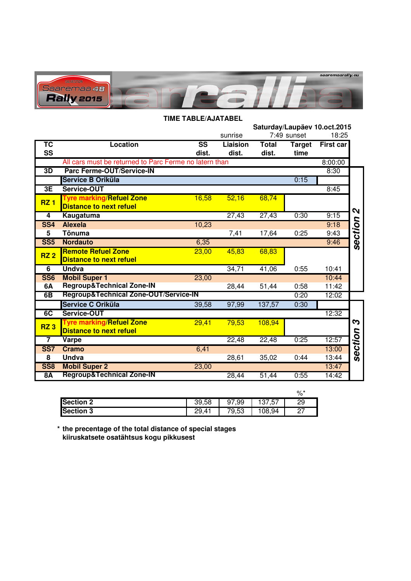

| <b>TIME TABLE/AJATABEL</b> |                                                        |                        |          |              |               |                              |                           |
|----------------------------|--------------------------------------------------------|------------------------|----------|--------------|---------------|------------------------------|---------------------------|
|                            |                                                        |                        |          |              |               | Saturday/Laupäev 10.oct.2015 |                           |
|                            |                                                        | 7:49 sunset<br>sunrise |          |              |               |                              |                           |
| ТC                         | <b>Location</b>                                        | $\overline{\text{SS}}$ | Liaision | <b>Total</b> | <b>Target</b> | <b>First car</b>             |                           |
| <b>SS</b>                  |                                                        | dist.                  | dist.    | dist.        | time          |                              |                           |
|                            | All cars must be returned to Parc Ferme no latern than |                        |          |              |               | 8:00:00                      |                           |
| 3D                         | <b>Parc Ferme-OUT/Service-IN</b>                       |                        |          |              |               | 8:30                         |                           |
|                            | Service B Oriküla                                      |                        |          |              | 0:15          |                              |                           |
| 3E                         | Service-OUT                                            |                        |          |              |               | 8:45                         |                           |
| <b>RZ1</b>                 | <b>Tyre marking/Refuel Zone</b>                        | 16,58                  | 52,16    | 68,74        |               |                              |                           |
|                            | <b>Distance to next refuel</b>                         |                        |          |              |               |                              | $\boldsymbol{\mathsf{N}}$ |
| $\overline{4}$             | Kaugatuma                                              |                        | 27,43    | 27,43        | 0:30          | 9:15                         |                           |
| <b>SS4</b>                 | <b>Alexela</b>                                         | 10,23                  |          |              |               | 9:18                         | section                   |
| 5                          | Tõnuma                                                 |                        | 7,41     | 17,64        | 0:25          | 9:43                         |                           |
| <b>SS5</b>                 | <b>Nordauto</b>                                        | 6,35                   |          |              |               | 9:46                         |                           |
| RZ <sub>2</sub>            | <b>Remote Refuel Zone</b>                              | 23,00                  | 45,83    | 68,83        |               |                              |                           |
|                            | <b>Distance to next refuel</b>                         |                        |          |              |               |                              |                           |
| 6                          | <b>Undva</b>                                           |                        | 34,71    | 41,06        | 0:55          | 10:41                        |                           |
| <b>SS6</b>                 | <b>Mobil Super 1</b>                                   | 23,00                  |          |              |               | 10:44                        |                           |
| 6A                         | <b>Regroup&amp;Technical Zone-IN</b>                   |                        | 28,44    | 51,44        | 0:58          | 11:42                        |                           |
| 6B                         | Regroup&Technical Zone-OUT/Service-IN                  |                        |          |              | 0:20          | 12:02                        |                           |
|                            | Service C Oriküla                                      | 39,58                  | 97,99    | 137,57       | 0:30          |                              |                           |
| 6C                         | Service-OUT                                            |                        |          |              |               | 12:32                        |                           |
| <b>RZ3</b>                 | <b>Tyre marking/Refuel Zone</b>                        | 29,41                  | 79,53    | 108,94       |               |                              | S                         |
|                            | <b>Distance to next refuel</b>                         |                        |          |              |               |                              |                           |
| $\overline{7}$             | Varpe                                                  |                        | 22,48    | 22,48        | 0:25          | 12:57                        |                           |
| <b>SS7</b>                 | <b>Cramo</b>                                           | 6,41                   |          |              |               | 13:00                        | section                   |
| 8                          | Undva                                                  |                        | 28,61    | 35,02        | 0:44          | 13:44                        |                           |
| <b>SS8</b>                 | <b>Mobil Super 2</b>                                   | 23,00                  |          |              |               | 13:47                        |                           |
| <b>8A</b>                  | <b>Regroup&amp;Technical Zone-IN</b>                   |                        | 28,44    | 51,44        | 0:55          | 14:42                        |                           |

|                  |       |       |                   | %*        |
|------------------|-------|-------|-------------------|-----------|
| <b>Section 2</b> | 39,58 | 97,99 | -57<br>127<br>، ب | 29        |
| <b>Section 3</b> | 29,41 | 79,53 | 108,94            | דמ<br>، ے |

**\* the precentage of the total distance of special stages kiiruskatsete osatähtsus kogu pikkusest**